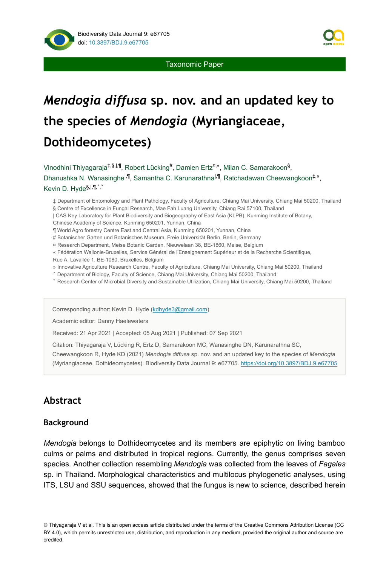

Taxonomic Paper

# *Mendogia diffusa* **sp. nov. and an updated key to the species of** *Mendogia* **(Myriangiaceae, Dothideomycetes)**

Vinodhini Thiyagaraja<sup>‡,§,|,¶</sup>, Robert Lücking<sup>#</sup>, Damien Ertz<sup>¤,«</sup>, Milan C. Samarakoon<sup>§</sup>,

Dhanushka N. Wanasinghe<sup>l,¶</sup>, Samantha C. Karunarathna<sup>l,¶</sup>, Ratchadawan Cheewangkoon<sup>‡,»</sup>, Kevin D. Hyde<sup>§,|,¶,^,</sup>

‡ Department of Entomology and Plant Pathology, Faculty of Agriculture, Chiang Mai University, Chiang Mai 50200, Thailand § Centre of Excellence in Fungal Research, Mae Fah Luang University, Chiang Rai 57100, Thailand

| CAS Key Laboratory for Plant Biodiversity and Biogeography of East Asia (KLPB), Kunming Institute of Botany,

Chinese Academy of Science, Kunming 650201, Yunnan, China

¶ World Agro forestry Centre East and Central Asia, Kunming 650201, Yunnan, China

# Botanischer Garten und Botanisches Museum, Freie Universität Berlin, Berlin, Germany

¤ Research Department, Meise Botanic Garden, Nieuwelaan 38, BE-1860, Meise, Belgium

« Fédération Wallonie-Bruxelles, Service Général de l'Enseignement Supérieur et de la Recherche Scientifique, Rue A. Lavallée 1, BE-1080, Bruxelles, Belgium

» Innovative Agriculture Research Centre, Faculty of Agriculture, Chiang Mai University, Chiang Mai 50200, Thailand

˄ Department of Biology, Faculty of Science, Chiang Mai University, Chiang Mai 50200, Thailand

˅ Research Center of Microbial Diversity and Sustainable Utilization, Chiang Mai University, Chiang Mai 50200, Thailand

Corresponding author: Kevin D. Hyde ([kdhyde3@gmail.com](mailto:kdhyde3@gmail.com))

Academic editor: Danny Haelewaters

Received: 21 Apr 2021 | Accepted: 05 Aug 2021 | Published: 07 Sep 2021

Citation: Thiyagaraja V, Lücking R, Ertz D, Samarakoon MC, Wanasinghe DN, Karunarathna SC,

Cheewangkoon R, Hyde KD (2021) *Mendogia diffusa* sp. nov. and an updated key to the species of *Mendogia* (Myriangiaceae, Dothideomycetes). Biodiversity Data Journal 9: e67705.<https://doi.org/10.3897/BDJ.9.e67705>

# **Abstract**

### **Background**

*Mendogia* belongs to Dothideomycetes and its members are epiphytic on living bamboo culms or palms and distributed in tropical regions. Currently, the genus comprises seven species. Another collection resembling *Mendogia* was collected from the leaves of *Fagales* sp. in Thailand. Morphological characteristics and multilocus phylogenetic analyses, using ITS, LSU and SSU sequences, showed that the fungus is new to science, described herein

© Thiyagaraja V et al. This is an open access article distributed under the terms of the Creative Commons Attribution License (CC BY 4.0), which permits unrestricted use, distribution, and reproduction in any medium, provided the original author and source are credited.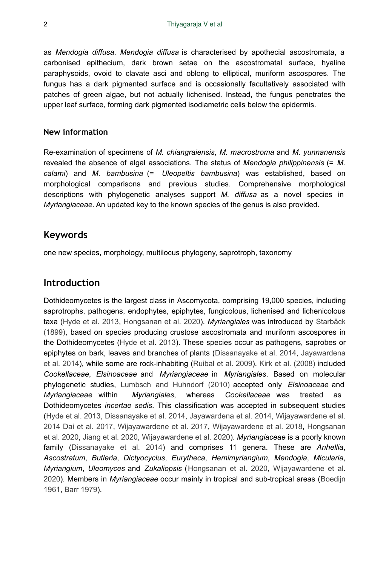as *Mendogia diffusa*. *Mendogia diffusa* is characterised by apothecial ascostromata, a carbonised epithecium, dark brown setae on the ascostromatal surface, hyaline paraphysoids, ovoid to clavate asci and oblong to elliptical, muriform ascospores. The fungus has a dark pigmented surface and is occasionally facultatively associated with patches of green algae, but not actually lichenised. Instead, the fungus penetrates the upper leaf surface, forming dark pigmented isodiametric cells below the epidermis.

### **New information**

Re-examination of specimens of *M. chiangraiensis*, *M. macrostroma* and *M. yunnanensis* revealed the absence of algal associations. The status of *Mendogia philippinensis* (= *M. calami*) and *M. bambusina* (= *Uleopeltis bambusina*) was established, based on morphological comparisons and previous studies. Comprehensive morphological descriptions with phylogenetic analyses support *M. diffusa* as a novel species in *Myriangiaceae*. An updated key to the known species of the genus is also provided.

### **Keywords**

one new species, morphology, multilocus phylogeny, saprotroph, taxonomy

## **Introduction**

Dothideomycetes is the largest class in Ascomycota, comprising 19,000 species, including saprotrophs, pathogens, endophytes, epiphytes, fungicolous, lichenised and lichenicolous taxa ([Hyde et al. 2013,](#page-14-0) [Hongsanan et al. 2020\)](#page-13-0). *Myriangiales* was introduced by [Starbäck](#page-15-0) [\(1899\)](#page-15-0), based on species producing crustose ascostromata and muriform ascospores in the Dothideomycetes ([Hyde et al. 2013](#page-14-0)). These species occur as pathogens, saprobes or epiphytes on bark, leaves and branches of plants [\(Dissanayake et al. 2014](#page-13-1), [Jayawardena](#page-14-1) [et al. 2014](#page-14-1)), while some are rock-inhabiting [\(Ruibal et al. 2009](#page-15-1)). [Kirk et al. \(2008\)](#page-14-2) included *Cookellaceae*, *Elsinoaceae* and *Myriangiaceae* in *Myriangiales*. Based on molecular phylogenetic studies, [Lumbsch and Huhndorf \(2010\)](#page-14-3) accepted only *Elsinoaceae* and *Myriangiaceae* within *Myriangiales*, whereas *Cookellaceae* was treated as Dothideomycetes *incertae sedis*. This classification was accepted in subsequent studies [\(Hyde et al. 2013,](#page-14-0) [Dissanayake et al. 2014,](#page-13-1) [Jayawardena et al. 2014](#page-14-1), [Wijayawardene et al.](#page-15-2) [2014](#page-15-2) [Dai et al. 2017,](#page-13-2) [Wijayawardene et al. 2017,](#page-15-3) [Wijayawardene et al. 2018,](#page-16-0) [Hongsanan](#page-13-0) [et al. 2020](#page-13-0), [Jiang et al. 2020,](#page-14-4) [Wijayawardene et al. 2020\)](#page-16-1). *Myriangiaceae* is a poorly known family ([Dissanayake et al. 2014](#page-13-1)) and comprises 11 genera. These are *Anhellia*, *Ascostratum*, *Butleria*, *Dictyocyclus*, *Eurytheca*, *Hemimyriangium*, *Mendogia*, *Micularia*, *Myriangium*, *Uleomyces* and *Zukaliopsis* ([Hongsanan et al. 2020,](#page-13-0) [Wijayawardene et al.](#page-16-1) [2020](#page-16-1)). Members in *Myriangiaceae* occur mainly in tropical and sub-tropical areas ([Boedijn](#page-13-3) [1961](#page-13-3), [Barr 1979\)](#page-13-4).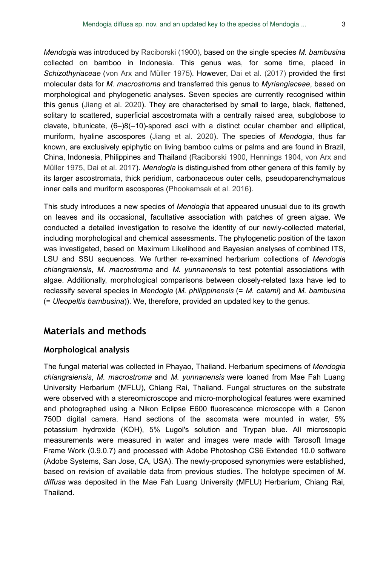*Mendogia* was introduced by [Raciborski \(1900\)](#page-15-4), based on the single species *M. bambusina* collected on bamboo in Indonesia. This genus was, for some time, placed in *Schizothyriaceae* ([von Arx and Müller 1975\)](#page-15-5). However, [Dai et al. \(2017\)](#page-13-2) provided the first molecular data for *M. macrostroma* and transferred this genus to *Myriangiaceae*, based on morphological and phylogenetic analyses. Seven species are currently recognised within this genus ([Jiang et al. 2020](#page-14-4)). They are characterised by small to large, black, flattened, solitary to scattered, superficial ascostromata with a centrally raised area, subglobose to clavate, bitunicate, (6–)8(–10)-spored asci with a distinct ocular chamber and elliptical, muriform, hyaline ascospores [\(Jiang et al. 2020\)](#page-14-4). The species of *Mendogia*, thus far known, are exclusively epiphytic on living bamboo culms or palms and are found in Brazil, China, Indonesia, Philippines and Thailand [\(Raciborski 1900](#page-15-4), [Hennings 1904,](#page-13-5) [von Arx and](#page-15-5) [Müller 1975,](#page-15-5) [Dai et al. 2017](#page-13-2)). *Mendogia* is distinguished from other genera of this family by its larger ascostromata, thick peridium, carbonaceous outer cells, pseudoparenchymatous inner cells and muriform ascospores [\(Phookamsak et al. 2016](#page-15-6)).

This study introduces a new species of *Mendogia* that appeared unusual due to its growth on leaves and its occasional, facultative association with patches of green algae. We conducted a detailed investigation to resolve the identity of our newly-collected material, including morphological and chemical assessments. The phylogenetic position of the taxon was investigated, based on Maximum Likelihood and Bayesian analyses of combined ITS, LSU and SSU sequences. We further re-examined herbarium collections of *Mendogia chiangraiensis*, *M. macrostroma* and *M. yunnanensis* to test potential associations with algae. Additionally, morphological comparisons between closely-related taxa have led to reclassify several species in *Mendogia* (*M. philippinensis* (= *M. calami*) and *M. bambusina* (= *Uleopeltis bambusina*)). We, therefore, provided an updated key to the genus.

# **Materials and methods**

### **Morphological analysis**

The fungal material was collected in Phayao, Thailand. Herbarium specimens of *Mendogia chiangraiensis*, *M. macrostroma* and *M. yunnanensis* were loaned from Mae Fah Luang University Herbarium (MFLU), Chiang Rai, Thailand. Fungal structures on the substrate were observed with a stereomicroscope and micro-morphological features were examined and photographed using a Nikon Eclipse E600 fluorescence microscope with a Canon 750D digital camera. Hand sections of the ascomata were mounted in water, 5% potassium hydroxide (KOH), 5% Lugol's solution and Trypan blue. All microscopic measurements were measured in water and images were made with Tarosoft Image Frame Work (0.9.0.7) and processed with Adobe Photoshop CS6 Extended 10.0 software (Adobe Systems, San Jose, CA, USA). The newly-proposed synonymies were established, based on revision of available data from previous studies. The holotype specimen of *M. diffusa* was deposited in the Mae Fah Luang University (MFLU) Herbarium, Chiang Rai, Thailand.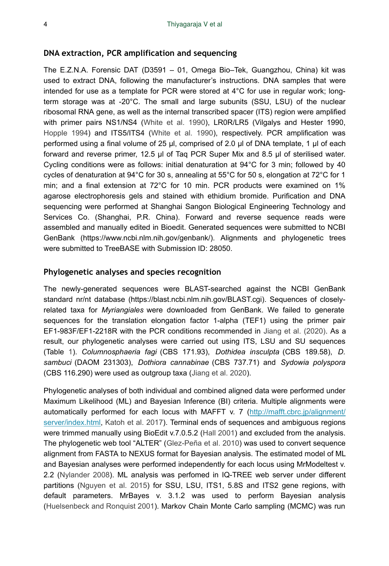### **DNA extraction, PCR amplification and sequencing**

The E.Z.N.A. Forensic DAT (D3591 – 01, Omega Bio–Tek, Guangzhou, China) kit was used to extract DNA, following the manufacturer's instructions. DNA samples that were intended for use as a template for PCR were stored at 4°C for use in regular work; longterm storage was at -20°C. The small and large subunits (SSU, LSU) of the nuclear ribosomal RNA gene, as well as the internal transcribed spacer (ITS) region were amplified with primer pairs NS1/NS4 ([White et al. 1990\)](#page-15-7), LR0R/LR5 (Vilgalys and Hester 1990, [Hopple 1994\)](#page-14-5) and ITS5/ITS4 ([White et al. 1990](#page-15-7)), respectively. PCR amplification was performed using a final volume of 25 µl, comprised of 2.0 µl of DNA template, 1 µl of each forward and reverse primer, 12.5 µl of Taq PCR Super Mix and 8.5 µl of sterilised water. Cycling conditions were as follows: initial denaturation at 94°C for 3 min; followed by 40 cycles of denaturation at 94°C for 30 s, annealing at 55°C for 50 s, elongation at 72°C for 1 min; and a final extension at 72°C for 10 min. PCR products were examined on 1% agarose electrophoresis gels and stained with ethidium bromide. Purification and DNA sequencing were performed at Shanghai Sangon Biological Engineering Technology and Services Co. (Shanghai, P.R. China). Forward and reverse sequence reads were assembled and manually edited in Bioedit. Generated sequences were submitted to NCBI GenBank (https://www.ncbi.nlm.nih.gov/genbank/). Alignments and phylogenetic trees were submitted to TreeBASE with Submission ID: 28050.

### **Phylogenetic analyses and species recognition**

The newly-generated sequences were BLAST-searched against the NCBI GenBank standard nr/nt database (https://blast.ncbi.nlm.nih.gov/BLAST.cgi). Sequences of closelyrelated taxa for *Myriangiales* were downloaded from GenBank. We failed to generate sequences for the translation elongation factor 1-alpha (TEF1) using the primer pair EF1-983F/EF1-2218R with the PCR conditions recommended in [Jiang et al. \(2020\)](#page-14-4). As a result, our phylogenetic analyses were carried out using ITS, LSU and SU sequences (Table [1](#page-4-0)). *Columnosphaeria fagi* (CBS 171.93), *Dothidea insculpta* (CBS 189.58), *D. sambuci* (DAOM 231303), *Dothiora cannabinae* (CBS 737.71) and *Sydowia polyspora* (CBS 116.290) were used as outgroup taxa [\(Jiang et al. 2020](#page-14-4)).

Phylogenetic analyses of both individual and combined aligned data were performed under Maximum Likelihood (ML) and Bayesian Inference (BI) criteria. Multiple alignments were automatically performed for each locus with MAFFT v. 7 ([http://mafft.cbrc.jp/alignment/](http://mafft.cbrc.jp/alignment/server/index.html) [server/index.html,](http://mafft.cbrc.jp/alignment/server/index.html) [Katoh et al. 2017\)](#page-14-6). Terminal ends of sequences and ambiguous regions were trimmed manually using BioEdit v.7.0.5.2 ([Hall 2001](#page-13-6)) and excluded from the analysis. The phylogenetic web tool "ALTER" ([Glez-Peña et al. 2010\)](#page-13-7) was used to convert sequence alignment from FASTA to NEXUS format for Bayesian analysis. The estimated model of ML and Bayesian analyses were performed independently for each locus using MrModeltest v. 2.2 ([Nylander 2008\)](#page-15-8). ML analysis was perfomed in IQ-TREE web server under different partitions [\(Nguyen et al. 2015\)](#page-15-9) for SSU, LSU, ITS1, 5.8S and ITS2 gene regions, with default parameters. MrBayes v. 3.1.2 was used to perform Bayesian analysis [\(Huelsenbeck and Ronquist 2001\)](#page-14-7). Markov Chain Monte Carlo sampling (MCMC) was run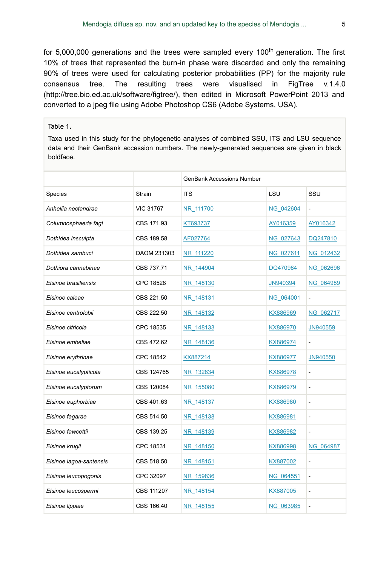for 5,000,000 generations and the trees were sampled every 100<sup>th</sup> generation. The first 10% of trees that represented the burn-in phase were discarded and only the remaining 90% of trees were used for calculating posterior probabilities (PP) for the majority rule consensus tree. The resulting trees were visualised in FigTree v.1.4.0 (http://tree.bio.ed.ac.uk/software/figtree/), then edited in Microsoft PowerPoint 2013 and converted to a jpeg file using Adobe Photoshop CS6 (Adobe Systems, USA).

#### <span id="page-4-0"></span>Table 1.

Taxa used in this study for the phylogenetic analyses of combined SSU, ITS and LSU sequence data and their GenBank accession numbers. The newly-generated sequences are given in black boldface.

|                         |                  | <b>GenBank Accessions Number</b> |                  |                          |
|-------------------------|------------------|----------------------------------|------------------|--------------------------|
| <b>Species</b>          | Strain           | <b>ITS</b>                       | LSU              | SSU                      |
| Anhellia nectandrae     | <b>VIC 31767</b> | NR 111700                        | NG 042604        | $\overline{a}$           |
| Columnosphaeria fagi    | CBS 171.93       | KT693737                         | AY016359         | AY016342                 |
| Dothidea insculpta      | CBS 189.58       | AF027764                         | NG 027643        | DQ247810                 |
| Dothidea sambuci        | DAOM 231303      | NR 111220                        | NG 027611        | NG 012432                |
| Dothiora cannabinae     | CBS 737.71       | NR 144904                        | DQ470984         | <b>NG 062696</b>         |
| Elsinoe brasiliensis    | CPC 18528        | NR 148130                        | JN940394         | NG 064989                |
| Elsinoe caleae          | CBS 221.50       | NR 148131                        | NG 064001        |                          |
| Elsinoe centrolobii     | CBS 222.50       | NR 148132                        | KX886969         | NG 062717                |
| Elsinoe citricola       | CPC 18535        | NR 148133                        | KX886970         | JN940559                 |
| Elsinoe embeliae        | CBS 472.62       | NR 148136                        | KX886974         |                          |
| Elsinoe erythrinae      | CPC 18542        | KX887214                         | KX886977         | JN940550                 |
| Elsinoe eucalypticola   | CBS 124765       | NR 132834                        | KX886978         | L.                       |
| Elsinoe eucalyptorum    | CBS 120084       | NR 155080                        | KX886979         | $\overline{\phantom{a}}$ |
| Elsinoe euphorbiae      | CBS 401.63       | NR 148137                        | KX886980         | $\overline{a}$           |
| Elsinoe fagarae         | CBS 514.50       | NR 148138                        | KX886981         | L,                       |
| Elsinoe fawcettii       | CBS 139.25       | NR 148139                        | KX886982         | $\overline{\phantom{a}}$ |
| Elsinoe krugii          | CPC 18531        | NR 148150                        | KX886998         | NG 064987                |
| Elsinoe lagoa-santensis | CBS 518.50       | NR 148151                        | KX887002         | $\overline{a}$           |
| Elsinoe leucopogonis    | CPC 32097        | NR 159836                        | NG 064551        | $\overline{a}$           |
| Elsinoe leucospermi     | CBS 111207       | NR 148154                        | KX887005         | ÷,                       |
| Elsinoe lippiae         | CBS 166.40       | NR 148155                        | <b>NG 063985</b> | $\overline{a}$           |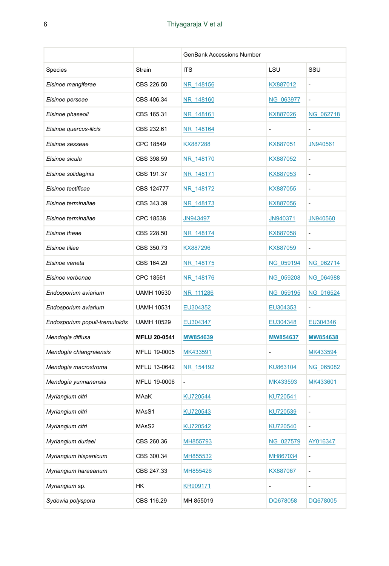|                                |                     | <b>GenBank Accessions Number</b> |           |                |
|--------------------------------|---------------------|----------------------------------|-----------|----------------|
| Species                        | Strain              | <b>ITS</b>                       | LSU       | SSU            |
| Elsinoe mangiferae             | CBS 226.50          | NR 148156                        | KX887012  |                |
| Elsinoe perseae                | CBS 406.34          | NR 148160                        | NG 063977 | $\overline{a}$ |
| Elsinoe phaseoli               | CBS 165.31          | NR 148161                        | KX887026  | NG_062718      |
| Elsinoe quercus-ilicis         | CBS 232.61          | NR 148164                        |           |                |
| Elsinoe sesseae                | CPC 18549           | KX887288                         | KX887051  | JN940561       |
| Elsinoe sicula                 | CBS 398.59          | NR 148170                        | KX887052  | $\overline{a}$ |
| Elsinoe solidaginis            | CBS 191.37          | NR 148171                        | KX887053  | $\overline{a}$ |
| Elsinoe tectificae             | CBS 124777          | NR_148172                        | KX887055  | $\overline{a}$ |
| Elsinoe terminaliae            | CBS 343.39          | NR 148173                        | KX887056  | $\overline{a}$ |
| Elsinoe terminaliae            | CPC 18538           | JN943497                         | JN940371  | JN940560       |
| Elsinoe theae                  | CBS 228.50          | NR_148174                        | KX887058  | $\overline{a}$ |
| Elsinoe tiliae                 | CBS 350.73          | KX887296                         | KX887059  | $\blacksquare$ |
| Elsinoe veneta                 | CBS 164.29          | NR_148175                        | NG_059194 | NG_062714      |
| Elsinoe verbenae               | CPC 18561           | NR 148176                        | NG_059208 | NG_064988      |
| Endosporium aviarium           | <b>UAMH 10530</b>   | NR 111286                        | NG 059195 | NG 016524      |
| Endosporium aviarium           | <b>UAMH 10531</b>   | EU304352                         | EU304353  | $\overline{a}$ |
| Endosporium populi-tremuloidis | <b>UAMH 10529</b>   | EU304347                         | EU304348  | EU304346       |
| Mendogia diffusa               | <b>MFLU 20-0541</b> | MW854639                         | MW854637  | MW854638       |
| Mendogia chiangraiensis        | MFLU 19-0005        | MK433591                         |           | MK433594       |
| Mendogia macrostroma           | MFLU 13-0642        | NR 154192                        | KU863104  | NG 065082      |
| Mendogia yunnanensis           | MFLU 19-0006        |                                  | MK433593  | MK433601       |
| Myriangium citri               | MAaK                | KU720544                         | KU720541  | $\overline{a}$ |
| Myriangium citri               | MAsS1               | KU720543                         | KU720539  | L,             |
| Myriangium citri               | MAsS2               | KU720542                         | KU720540  | $\overline{a}$ |
| Myriangium duriaei             | CBS 260.36          | MH855793                         | NG_027579 | AY016347       |
| Myriangium hispanicum          | CBS 300.34          | MH855532                         | MH867034  |                |
| Myriangium haraeanum           | CBS 247.33          | MH855426                         | KX887067  | $\overline{a}$ |
| Myriangium sp.                 | HΚ                  | KR909171                         |           | $\overline{a}$ |
| Sydowia polyspora              | CBS 116.29          | MH 855019                        | DQ678058  | DQ678005       |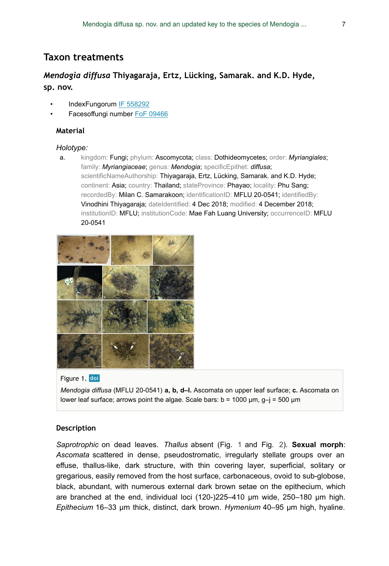# **Taxon treatments**

# *Mendogia diffusa* **Thiyagaraja, Ertz, Lücking, Samarak. and K.D. Hyde, sp. nov.**

- IndexFungorum [IF 558292](http://www.indexfungorum.org/names/NamesRecord.asp?RecordID=IF558292)
- Facesoffungi number [FoF 09466](https://bdj.pensoft.net/FoF09466)

### **Material**

#### *Holotype:*

a. kingdom: Fungi; phylum: Ascomycota; class: Dothideomycetes; order: *Myriangiales*; family: *Myriangiaceae*; genus: *Mendogia*; specificEpithet: *diffusa*; scientificNameAuthorship: Thiyagaraja, Ertz, Lücking, Samarak. and K.D. Hyde; continent: Asia; country: Thailand; stateProvince: Phayao; locality: Phu Sang; recordedBy: Milan C. Samarakoon; identificationID: MFLU 20-0541; identifiedBy: Vinodhini Thiyagaraja; dateIdentified: 4 Dec 2018; modified: 4 December 2018; institutionID: MFLU; institutionCode: Mae Fah Luang University; occurrenceID: MFLU 20-0541

<span id="page-6-0"></span>

#### Figure 1. doi

*Mendogia diffusa* (MFLU 20-0541) **a, b, d–l.** Ascomata on upper leaf surface; **c.** Ascomata on lower leaf surface; arrows point the algae. Scale bars:  $b = 1000 \mu m$ ,  $g - j = 500 \mu m$ 

#### **Description**

*Saprotrophic* on dead leaves. *Thallus* absent (Fig. [1](#page-6-0) and Fig. [2](#page-7-0)). **Sexual morph**: *Ascomata* scattered in dense, pseudostromatic, irregularly stellate groups over an effuse, thallus-like, dark structure, with thin covering layer, superficial, solitary or gregarious, easily removed from the host surface, carbonaceous, ovoid to sub-globose, black, abundant, with numerous external dark brown setae on the epithecium, which are branched at the end, individual loci (120-)225–410 µm wide, 250–180 µm high. *Epithecium* 16–33 µm thick, distinct, dark brown. *Hymenium* 40–95 µm high, hyaline.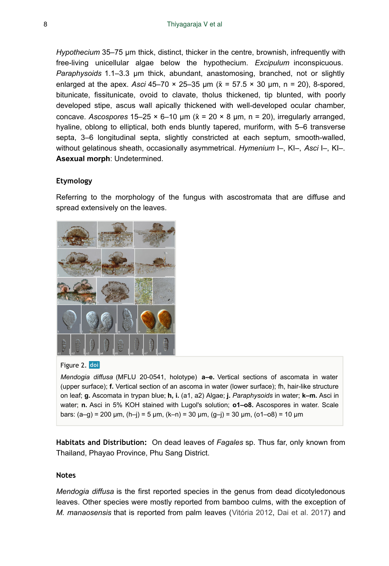*Hypothecium* 35–75 µm thick, distinct, thicker in the centre, brownish, infrequently with free-living unicellular algae below the hypothecium. *Excipulum* inconspicuous. *Paraphysoids* 1.1–3.3 µm thick, abundant, anastomosing, branched, not or slightly enlarged at the apex. *Asci* 45–70 × 25–35 μm (x̄ = 57.5 × 30 μm, n = 20), 8-spored, bitunicate, fissitunicate, ovoid to clavate, tholus thickened, tip blunted, with poorly developed stipe, ascus wall apically thickened with well-developed ocular chamber, concave. *Ascospores*  $15-25 \times 6-10$  µm ( $\bar{x} = 20 \times 8$  µm, n = 20), irregularly arranged, hyaline, oblong to elliptical, both ends bluntly tapered, muriform, with 5–6 transverse septa, 3–6 longitudinal septa, slightly constricted at each septum, smooth-walled, without gelatinous sheath, occasionally asymmetrical. *Hymenium* I–, KI–, *Asci* I–, KI–. **Asexual morph**: Undetermined.

### **Etymology**

Referring to the morphology of the fungus with ascostromata that are diffuse and spread extensively on the leaves.

<span id="page-7-0"></span>

#### Figure 2. doi

*Mendogia diffusa* (MFLU 20-0541, holotype) **a–e.** Vertical sections of ascomata in water (upper surface); **f.** Vertical section of an ascoma in water (lower surface); fh, hair-like structure on leaf; **g.** Ascomata in trypan blue; **h, i.** (a1, a2) Algae; **j.** *Paraphysoids* in water; **k–m.** Asci in water; **n.** Asci in 5% KOH stained with Lugol's solution; **o1–o8.** Ascospores in water. Scale bars: (a–g) = 200 μm, (h–j) = 5 μm, (k–n) = 30 μm, (g–j) = 30 μm, (o1–o8) = 10 μm

**Habitats and Distribution:** On dead leaves of *Fagales* sp. Thus far, only known from Thailand, Phayao Province, Phu Sang District.

#### **Notes**

*Mendogia diffusa* is the first reported species in the genus from dead dicotyledonous leaves. Other species were mostly reported from bamboo culms, with the exception of *M. manaosensis* that is reported from palm leaves ([Vitória 2012](#page-15-10), [Dai et al. 2017\)](#page-13-2) and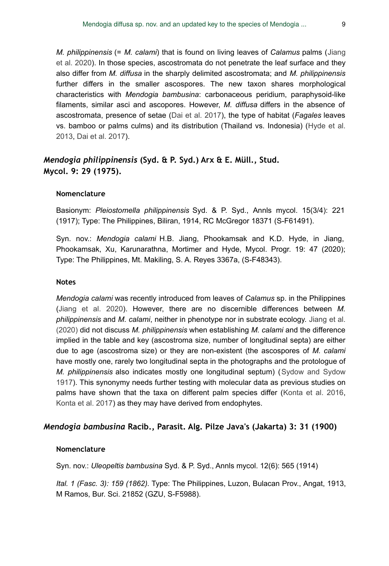*M. philippinensis* (= *M. calami*) that is found on living leaves of *Calamus* palms ([Jiang](#page-14-4) [et al. 2020](#page-14-4)). In those species, ascostromata do not penetrate the leaf surface and they also differ from *M. diffusa* in the sharply delimited ascostromata; and *M. philippinensis* further differs in the smaller ascospores. The new taxon shares morphological characteristics with *Mendogia bambusina*: carbonaceous peridium, paraphysoid-like filaments, similar asci and ascopores. However, *M. diffusa* differs in the absence of ascostromata, presence of setae ([Dai et al. 2017\)](#page-13-2), the type of habitat (*Fagales* leaves vs. bamboo or palms culms) and its distribution (Thailand vs. Indonesia) [\(Hyde et al.](#page-14-0) [2013](#page-14-0), [Dai et al. 2017\)](#page-13-2).

## *Mendogia philippinensis* **(Syd. & P. Syd.) Arx & E. Müll., Stud. Mycol. 9: 29 (1975).**

#### **Nomenclature**

Basionym: *Pleiostomella philippinensis* Syd. & P. Syd., Annls mycol. 15(3/4): 221 (1917); Type: The Philippines, Biliran, 1914, RC McGregor 18371 (S-F61491).

Syn. nov.: *Mendogia calami* H.B. Jiang, Phookamsak and K.D. Hyde, in Jiang, Phookamsak, Xu, Karunarathna, Mortimer and Hyde, Mycol. Progr. 19: 47 (2020); Type: The Philippines, Mt. Makiling, S. A. Reyes 3367a, (S-F48343).

### **Notes**

*Mendogia calami* was recently introduced from leaves of *Calamus* sp. in the Philippines [\(Jiang et al. 2020\)](#page-14-4). However, there are no discernible differences between *M. philippinensis* and *M. calami*, neither in phenotype nor in substrate ecology. [Jiang et al.](#page-14-4) [\(2020\)](#page-14-4) did not discuss *M. philippinensis* when establishing *M. calami* and the difference implied in the table and key (ascostroma size, number of longitudinal septa) are either due to age (ascostroma size) or they are non-existent (the ascospores of *M. calami* have mostly one, rarely two longitudinal septa in the photographs and the protologue of *M. philippinensis* also indicates mostly one longitudinal septum) ([Sydow and Sydow](#page-15-11) [1917](#page-15-11)). This synonymy needs further testing with molecular data as previous studies on palms have shown that the taxa on different palm species differ [\(Konta et al. 2016,](#page-14-8) [Konta et al. 2017](#page-14-9)) as they may have derived from endophytes.

#### *Mendogia bambusina* **Racib., Parasit. Alg. Pilze Java's (Jakarta) 3: 31 (1900)**

#### **Nomenclature**

Syn. nov.: *Uleopeltis bambusina* Syd. & P. Syd., Annls mycol. 12(6): 565 (1914)

*Ital. 1 (Fasc. 3): 159 (1862).* Type: The Philippines, Luzon, Bulacan Prov., Angat, 1913, M Ramos, Bur. Sci. 21852 (GZU, S-F5988).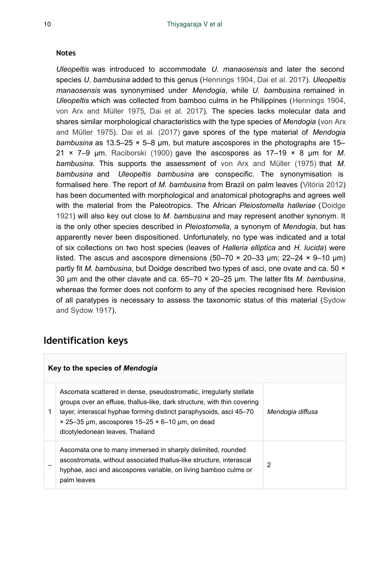### **Notes**

*Uleopeltis* was introduced to accommodate *U. manaosensis* and later the second species *U. bambusina* added to this genus [\(Hennings 1904](#page-13-5), [Dai et al. 2017\)](#page-13-2). *Uleopeltis manaosensis* was synonymised under *Mendogia*, while *U. bambusina* remained in *Uleopeltis* which was collected from bamboo culms in he Philippines ([Hennings 1904,](#page-13-5) [von Arx and Müller 1975,](#page-15-5) [Dai et al. 2017](#page-13-2)). The species lacks molecular data and shares similar morphological characteristics with the type species of *Mendogia* [\(von Arx](#page-15-5) [and Müller 1975](#page-15-5)). [Dai et al. \(2017\)](#page-13-2) gave spores of the type material of *Mendogia bambusina* as 13.5–25 × 5–8 μm, but mature ascospores in the photographs are 15– 21 × 7–9 μm. [Raciborski \(1900\)](#page-15-4) gave the ascospores as 17–19 × 8 μm for *M. bambusina*. This supports the assessment of [von Arx and Müller \(1975\)](#page-15-5) that *M. bambusina* and *Uleopeltis bambusina* are conspecific. The synonymisation is formalised here. The report of *M. bambusina* from Brazil on palm leaves ([Vitória 2012](#page-15-10)) has been documented with morphological and anatomical photographs and agrees well with the material from the Paleotropics. The African *Pleiostomella halleriae* ([Doidge](#page-13-8) [1921](#page-13-8)) will also key out close to *M. bambusina* and may represent another synonym. It is the only other species described in *Pleiostomella*, a synonym of *Mendogia*, but has apparently never been dispositioned. Unfortunately, no type was indicated and a total of six collections on two host species (leaves of *Halleria elliptica* and *H. lucida*) were listed. The ascus and ascospore dimensions (50–70  $\times$  20–33 µm; 22–24  $\times$  9–10 µm) partly fit *M. bambusina*, but Doidge described two types of asci, one ovate and ca. 50 × 30 μm and the other clavate and ca. 65–70 × 20–25 μm. The latter fits *M. bambusina*, whereas the former does not conform to any of the species recognised here. Revision of all paratypes is necessary to assess the taxonomic status of this material [\(Sydow](#page-15-11) [and Sydow 1917](#page-15-11)).

# **Identification keys**

| Key to the species of <i>Mendogia</i> |                                                                                                                                                                                                                                                                                                                         |                  |  |  |
|---------------------------------------|-------------------------------------------------------------------------------------------------------------------------------------------------------------------------------------------------------------------------------------------------------------------------------------------------------------------------|------------------|--|--|
|                                       | Ascomata scattered in dense, pseudostromatic, irregularly stellate<br>groups over an effuse, thallus-like, dark structure, with thin covering<br>layer, interascal hyphae forming distinct paraphysoids, asci 45–70<br>$\times$ 25-35 µm, ascospores 15-25 $\times$ 6-10 µm, on dead<br>dicotyledonean leaves, Thailand | Mendogia diffusa |  |  |
|                                       | Ascomata one to many immersed in sharply delimited, rounded<br>ascostromata, without associated thallus-like structure, interascal<br>hyphae, asci and ascospores variable, on living bamboo culms or<br>palm leaves                                                                                                    | 2                |  |  |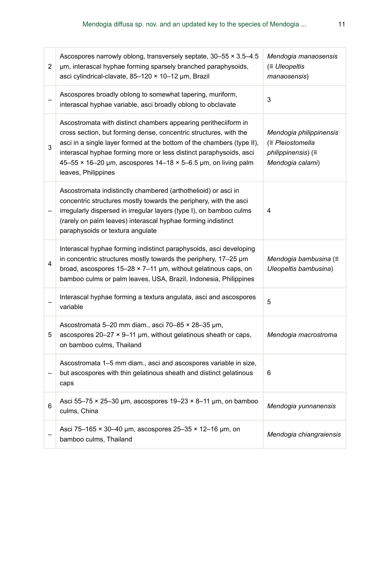| 2 | Ascospores narrowly oblong, transversely septate, $30-55 \times 3.5-4.5$<br>µm, interascal hyphae forming sparsely branched paraphysoids,<br>asci cylindrical-clavate, 85-120 × 10-12 µm, Brazil                                                                                                                                                                             | Mendogia manaosensis<br>$\equiv$ Uleopeltis<br>manaosensis)                           |
|---|------------------------------------------------------------------------------------------------------------------------------------------------------------------------------------------------------------------------------------------------------------------------------------------------------------------------------------------------------------------------------|---------------------------------------------------------------------------------------|
|   | Ascospores broadly oblong to somewhat tapering, muriform,<br>interascal hyphae variable, asci broadly oblong to obclavate                                                                                                                                                                                                                                                    | 3                                                                                     |
| 3 | Ascostromata with distinct chambers appearing peritheciiform in<br>cross section, but forming dense, concentric structures, with the<br>asci in a single layer formed at the bottom of the chambers (type II),<br>interascal hyphae forming more or less distinct paraphysoids, asci<br>45-55 × 16-20 µm, ascospores 14-18 × 5-6.5 µm, on living palm<br>leaves, Philippines | Mendogia philippinensis<br>(≡ Pleiostomella<br>philippinensis) (=<br>Mendogia calami) |
|   | Ascostromata indistinctly chambered (arthothelioid) or asci in<br>concentric structures mostly towards the periphery, with the asci<br>irregularly dispersed in irregular layers (type I), on bamboo culms<br>(rarely on palm leaves) interascal hyphae forming indistinct<br>paraphysoids or textura angulate                                                               | 4                                                                                     |
| 4 | Interascal hyphae forming indistinct paraphysoids, asci developing<br>in concentric structures mostly towards the periphery, $17-25 \mu m$<br>broad, ascospores $15-28 \times 7-11$ µm, without gelatinous caps, on<br>bamboo culms or palm leaves, USA, Brazil, Indonesia, Philippines                                                                                      | Mendogia bambusina (≡<br>Uleopeltis bambusina)                                        |
|   | Interascal hyphae forming a textura angulata, asci and ascospores<br>variable                                                                                                                                                                                                                                                                                                | 5                                                                                     |
| 5 | Ascostromata 5-20 mm diam., asci 70-85 × 28-35 µm,<br>ascospores 20-27 × 9-11 µm, without gelatinous sheath or caps,<br>on bamboo culms, Thailand                                                                                                                                                                                                                            | Mendogia macrostroma                                                                  |
|   | Ascostromata 1–5 mm diam., asci and ascospores variable in size,<br>but ascospores with thin gelatinous sheath and distinct gelatinous<br>caps                                                                                                                                                                                                                               | 6                                                                                     |
| 6 | Asci 55-75 $\times$ 25-30 µm, ascospores 19-23 $\times$ 8-11 µm, on bamboo<br>culms, China                                                                                                                                                                                                                                                                                   | Mendogia yunnanensis                                                                  |
|   | Asci 75-165 × 30-40 µm, ascospores 25-35 × 12-16 µm, on<br>bamboo culms, Thailand                                                                                                                                                                                                                                                                                            | Mendogia chiangraiensis                                                               |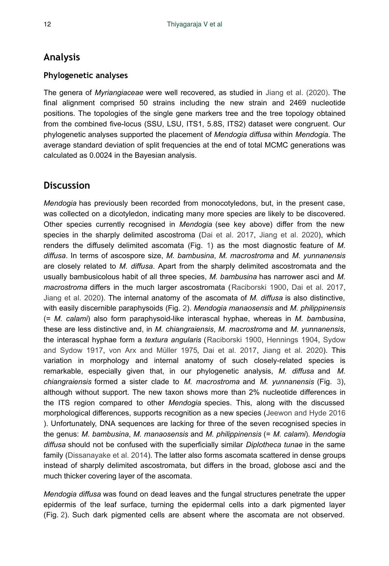# **Analysis**

### **Phylogenetic analyses**

The genera of *Myriangiaceae* were well recovered, as studied in [Jiang et al. \(2020\)](#page-14-4). The final alignment comprised 50 strains including the new strain and 2469 nucleotide positions. The topologies of the single gene markers tree and the tree topology obtained from the combined five-locus (SSU, LSU, ITS1, 5.8S, ITS2) dataset were congruent. Our phylogenetic analyses supported the placement of *Mendogia diffusa* within *Mendogia*. The average standard deviation of split frequencies at the end of total MCMC generations was calculated as 0.0024 in the Bayesian analysis.

# **Discussion**

*Mendogia* has previously been recorded from monocotyledons, but, in the present case, was collected on a dicotyledon, indicating many more species are likely to be discovered. Other species currently recognised in *Mendogia* (see key above) differ from the new species in the sharply delimited ascostroma ([Dai et al. 2017,](#page-13-2) [Jiang et al. 2020\)](#page-14-4), which renders the diffusely delimited ascomata (Fig. [1](#page-6-0)) as the most diagnostic feature of *M. diffusa*. In terms of ascospore size, *M. bambusina*, *M. macrostroma* and *M. yunnanensis* are closely related to *M. diffusa*. Apart from the sharply delimited ascostromata and the usually bambusicolous habit of all three species, *M. bambusina* has narrower asci and *M. macrostroma* differs in the much larger ascostromata ([Raciborski 1900](#page-15-4), [Dai et al. 2017,](#page-13-2) [Jiang et al. 2020](#page-14-4)). The internal anatomy of the ascomata of *M. diffusa* is also distinctive, with easily discernible paraphysoids (Fig. [2\)](#page-7-0). *Mendogia manaosensis* and *M. philippinensis* (= *M. calami*) also form paraphysoid-like interascal hyphae, whereas in *M. bambusina*, these are less distinctive and, in *M. chiangraiensis*, *M. macrostroma* and *M. yunnanensis*, the interascal hyphae form a *textura angularis* ([Raciborski 1900](#page-15-4), [Hennings 1904](#page-13-5), [Sydow](#page-15-11) [and Sydow 1917,](#page-15-11) [von Arx and Müller 1975,](#page-15-5) [Dai et al. 2017,](#page-13-2) [Jiang et al. 2020](#page-14-4)). This variation in morphology and internal anatomy of such closely-related species is remarkable, especially given that, in our phylogenetic analysis, *M. diffusa* and *M. chiangraiensis* formed a sister clade to *M. macrostroma* and *M. yunnanensis* (Fig. [3\)](#page-12-0), although without support. The new taxon shows more than 2% nucleotide differences in the ITS region compared to other *Mendogia* species. This, along with the discussed morphological differences, supports recognition as a new species ([Jeewon and Hyde 2016](#page-14-10) ). Unfortunately, DNA sequences are lacking for three of the seven recognised species in the genus: *M. bambusina*, *M. manaosensis* and *M. philippinensis* (= *M. calami*). *Mendogia diffusa* should not be confused with the superficially similar *Diplotheca tunae* in the same family [\(Dissanayake et al. 2014\)](#page-13-1). The latter also forms ascomata scattered in dense groups instead of sharply delimited ascostromata, but differs in the broad, globose asci and the much thicker covering layer of the ascomata.

*Mendogia diffusa* was found on dead leaves and the fungal structures penetrate the upper epidermis of the leaf surface, turning the epidermal cells into a dark pigmented layer (Fig. [2\)](#page-7-0). Such dark pigmented cells are absent where the ascomata are not observed.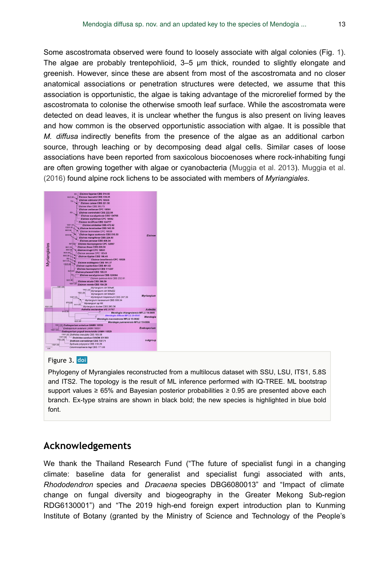Some ascostromata observed were found to loosely associate with algal colonies (Fig. [1\)](#page-6-0). The algae are probably trentepohlioid, 3–5 µm thick, rounded to slightly elongate and greenish. However, since these are absent from most of the ascostromata and no closer anatomical associations or penetration structures were detected, we assume that this association is opportunistic, the algae is taking advantage of the microrelief formed by the ascostromata to colonise the otherwise smooth leaf surface. While the ascostromata were detected on dead leaves, it is unclear whether the fungus is also present on living leaves and how common is the observed opportunistic association with algae. It is possible that *M. diffusa* indirectly benefits from the presence of the algae as an additional carbon source, through leaching or by decomposing dead algal cells. Similar cases of loose associations have been reported from saxicolous biocoenoses where rock-inhabiting fungi are often growing together with algae or cyanobacteria ([Muggia et al. 2013](#page-15-12)). [Muggia et al.](#page-15-13) [\(2016\)](#page-15-13) found alpine rock lichens to be associated with members of *Myriangiales*.

<span id="page-12-0"></span>

#### Figure 3. doi

Phylogeny of Myrangiales reconstructed from a multilocus dataset with SSU, LSU, ITS1, 5.8S and ITS2. The topology is the result of ML inference performed with IQ-TREE. ML bootstrap support values ≥ 65% and Bayesian posterior probabilities ≥ 0.95 are presented above each branch. Ex-type strains are shown in black bold; the new species is highlighted in blue bold font.

# **Acknowledgements**

We thank the Thailand Research Fund ("The future of specialist fungi in a changing climate: baseline data for generalist and specialist fungi associated with ants, *Rhododendron* species and *Dracaena* species DBG6080013" and "Impact of climate change on fungal diversity and biogeography in the Greater Mekong Sub-region RDG6130001") and "The 2019 high-end foreign expert introduction plan to Kunming Institute of Botany (granted by the Ministry of Science and Technology of the People's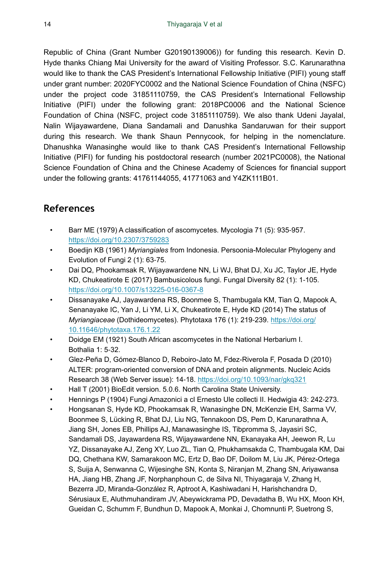Republic of China (Grant Number G20190139006)) for funding this research. Kevin D. Hyde thanks Chiang Mai University for the award of Visiting Professor. S.C. Karunarathna would like to thank the CAS President's International Fellowship Initiative (PIFI) young staff under grant number: 2020FYC0002 and the National Science Foundation of China (NSFC) under the project code 31851110759, the CAS President's International Fellowship Initiative (PIFI) under the following grant: 2018PC0006 and the National Science Foundation of China (NSFC, project code 31851110759). We also thank Udeni Jayalal, Nalin Wijayawardene, Diana Sandamali and Danushka Sandaruwan for their support during this research. We thank Shaun Pennycook, for helping in the nomenclature. Dhanushka Wanasinghe would like to thank CAS President's International Fellowship Initiative (PIFI) for funding his postdoctoral research (number 2021PC0008), the National Science Foundation of China and the Chinese Academy of Sciences for financial support under the following grants: 41761144055, 41771063 and Y4ZK111B01.

# **References**

- <span id="page-13-4"></span>• Barr ME (1979) A classification of ascomycetes. Mycologia 71 (5): 935‑957. <https://doi.org/10.2307/3759283>
- <span id="page-13-3"></span>• Boedijn KB (1961) *Myriangiales* from Indonesia. Persoonia-Molecular Phylogeny and Evolution of Fungi 2 (1): 63‑75.
- <span id="page-13-2"></span>• Dai DQ, Phookamsak R, Wijayawardene NN, Li WJ, Bhat DJ, Xu JC, Taylor JE, Hyde KD, Chukeatirote E (2017) Bambusicolous fungi. Fungal Diversity 82 (1): 1-105. <https://doi.org/10.1007/s13225-016-0367-8>
- <span id="page-13-1"></span>• Dissanayake AJ, Jayawardena RS, Boonmee S, Thambugala KM, Tian Q, Mapook A, Senanayake IC, Yan J, Li YM, Li X, Chukeatirote E, Hyde KD (2014) The status of *Myriangiaceae* (Dothideomycetes). Phytotaxa 176 (1): 219‑239. [https://doi.org/](https://doi.org/10.11646/phytotaxa.176.1.22) [10.11646/phytotaxa.176.1.22](https://doi.org/10.11646/phytotaxa.176.1.22)
- <span id="page-13-8"></span>• Doidge EM (1921) South African ascomycetes in the National Herbarium I. Bothalia 1: 5‑32.
- <span id="page-13-7"></span>• Glez-Peña D, Gómez-Blanco D, Reboiro-Jato M, Fdez-Riverola F, Posada D (2010) ALTER: program-oriented conversion of DNA and protein alignments. Nucleic Acids Research 38 (Web Server issue): 14‑18. <https://doi.org/10.1093/nar/gkq321>
- <span id="page-13-6"></span>• Hall T (2001) BioEdit version. 5.0.6. North Carolina State University.
- <span id="page-13-5"></span>• Hennings P (1904) Fungi Amazonici a cl Ernesto Ule collecti II. Hedwigia 43: 242‑273.
- <span id="page-13-0"></span>• Hongsanan S, Hyde KD, Phookamsak R, Wanasinghe DN, McKenzie EH, Sarma VV, Boonmee S, Lücking R, Bhat DJ, Liu NG, Tennakoon DS, Pem D, Karunarathna A, Jiang SH, Jones EB, Phillips AJ, Manawasinghe IS, Tibpromma S, Jayasiri SC, Sandamali DS, Jayawardena RS, Wijayawardene NN, Ekanayaka AH, Jeewon R, Lu YZ, Dissanayake AJ, Zeng XY, Luo ZL, Tian Q, Phukhamsakda C, Thambugala KM, Dai DQ, Chethana KW, Samarakoon MC, Ertz D, Bao DF, Doilom M, Liu JK, Pérez-Ortega S, Suija A, Senwanna C, Wijesinghe SN, Konta S, Niranjan M, Zhang SN, Ariyawansa HA, Jiang HB, Zhang JF, Norphanphoun C, de Silva NI, Thiyagaraja V, Zhang H, Bezerra JD, Miranda-González R, Aptroot A, Kashiwadani H, Harishchandra D, Sérusiaux E, Aluthmuhandiram JV, Abeywickrama PD, Devadatha B, Wu HX, Moon KH, Gueidan C, Schumm F, Bundhun D, Mapook A, Monkai J, Chomnunti P, Suetrong S,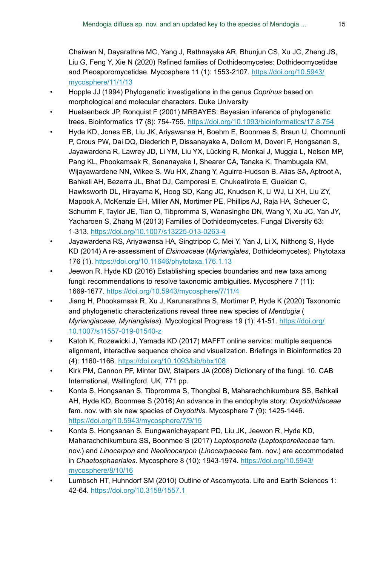Chaiwan N, Dayarathne MC, Yang J, Rathnayaka AR, Bhunjun CS, Xu JC, Zheng JS, Liu G, Feng Y, Xie N (2020) Refined families of Dothideomycetes: Dothideomycetidae and Pleosporomycetidae. Mycosphere 11 (1): 1553-2107. [https://doi.org/10.5943/](https://doi.org/10.5943/mycosphere/11/1/13) [mycosphere/11/1/13](https://doi.org/10.5943/mycosphere/11/1/13)

- <span id="page-14-5"></span>• Hopple JJ (1994) Phylogenetic investigations in the genus *Coprinus* based on morphological and molecular characters. Duke University
- <span id="page-14-7"></span>• Huelsenbeck JP, Ronquist F (2001) MRBAYES: Bayesian inference of phylogenetic trees. Bioinformatics 17 (8): 754‑755.<https://doi.org/10.1093/bioinformatics/17.8.754>
- <span id="page-14-0"></span>• Hyde KD, Jones EB, Liu JK, Ariyawansa H, Boehm E, Boonmee S, Braun U, Chomnunti P, Crous PW, Dai DQ, Diederich P, Dissanayake A, Doilom M, Doveri F, Hongsanan S, Jayawardena R, Lawrey JD, Li YM, Liu YX, Lücking R, Monkai J, Muggia L, Nelsen MP, Pang KL, Phookamsak R, Senanayake I, Shearer CA, Tanaka K, Thambugala KM, Wijayawardene NN, Wikee S, Wu HX, Zhang Y, Aguirre-Hudson B, Alias SA, Aptroot A, Bahkali AH, Bezerra JL, Bhat DJ, Camporesi E, Chukeatirote E, Gueidan C, Hawksworth DL, Hirayama K, Hoog SD, Kang JC, Knudsen K, Li WJ, Li XH, Liu ZY, Mapook A, McKenzie EH, Miller AN, Mortimer PE, Phillips AJ, Raja HA, Scheuer C, Schumm F, Taylor JE, Tian Q, Tibpromma S, Wanasinghe DN, Wang Y, Xu JC, Yan JY, Yacharoen S, Zhang M (2013) Families of Dothideomycetes. Fungal Diversity 63: 1‑313.<https://doi.org/10.1007/s13225-013-0263-4>
- <span id="page-14-1"></span>• Jayawardena RS, Ariyawansa HA, Singtripop C, Mei Y, Yan J, Li X, Nilthong S, Hyde KD (2014) A re-assessment of *Elsinoaceae* (*Myriangiales*, Dothideomycetes). Phytotaxa 176 (1).<https://doi.org/10.11646/phytotaxa.176.1.13>
- <span id="page-14-10"></span>• Jeewon R, Hyde KD (2016) Establishing species boundaries and new taxa among fungi: recommendations to resolve taxonomic ambiguities. Mycosphere 7 (11): 1669‑1677.<https://doi.org/10.5943/mycosphere/7/11/4>
- <span id="page-14-4"></span>• Jiang H, Phookamsak R, Xu J, Karunarathna S, Mortimer P, Hyde K (2020) Taxonomic and phylogenetic characterizations reveal three new species of *Mendogia* ( *Myriangiaceae*, *Myriangiales*). Mycological Progress 19 (1): 41‑51. [https://doi.org/](https://doi.org/10.1007/s11557-019-01540-z) [10.1007/s11557-019-01540-z](https://doi.org/10.1007/s11557-019-01540-z)
- <span id="page-14-6"></span>• Katoh K, Rozewicki J, Yamada KD (2017) MAFFT online service: multiple sequence alignment, interactive sequence choice and visualization. Briefings in Bioinformatics 20 (4): 1160‑1166. <https://doi.org/10.1093/bib/bbx108>
- <span id="page-14-2"></span>• Kirk PM, Cannon PF, Minter DW, Stalpers JA (2008) Dictionary of the fungi. 10. CAB International, Wallingford, UK, 771 pp.
- <span id="page-14-8"></span>• Konta S, Hongsanan S, Tibpromma S, Thongbai B, Maharachchikumbura SS, Bahkali AH, Hyde KD, Boonmee S (2016) An advance in the endophyte story: *Oxydothidaceae* fam. nov. with six new species of *Oxydothis*. Mycosphere 7 (9): 1425-1446. <https://doi.org/10.5943/mycosphere/7/9/15>
- <span id="page-14-9"></span>• Konta S, Hongsanan S, Eungwanichayapant PD, Liu JK, Jeewon R, Hyde KD, Maharachchikumbura SS, Boonmee S (2017) *Leptosporella* (*Leptosporellaceae* fam. nov.) and *Linocarpon* and *Neolinocarpon* (*Linocarpaceae* fam. nov.) are accommodated in *Chaetosphaeriales*. Mycosphere 8 (10): 1943‑1974. [https://doi.org/10.5943/](https://doi.org/10.5943/mycosphere/8/10/16) [mycosphere/8/10/16](https://doi.org/10.5943/mycosphere/8/10/16)
- <span id="page-14-3"></span>• Lumbsch HT, Huhndorf SM (2010) Outline of Ascomycota. Life and Earth Sciences 1: 42‑64.<https://doi.org/10.3158/1557.1>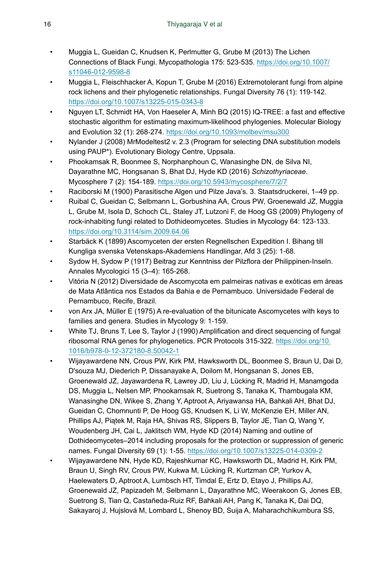- <span id="page-15-12"></span>• Muggia L, Gueidan C, Knudsen K, Perlmutter G, Grube M (2013) The Lichen Connections of Black Fungi. Mycopathologia 175: 523‑535. [https://doi.org/10.1007/](https://doi.org/10.1007/s11046-012-9598-8) [s11046-012-9598-8](https://doi.org/10.1007/s11046-012-9598-8)
- <span id="page-15-13"></span>• Muggia L, Fleischhacker A, Kopun T, Grube M (2016) Extremotolerant fungi from alpine rock lichens and their phylogenetic relationships. Fungal Diversity 76 (1): 119-142. <https://doi.org/10.1007/s13225-015-0343-8>
- <span id="page-15-9"></span>• Nguyen LT, Schmidt HA, Von Haeseler A, Minh BQ (2015) IQ-TREE: a fast and effective stochastic algorithm for estimating maximum-likelihood phylogenies. Molecular Biology and Evolution 32 (1): 268-274. <https://doi.org/10.1093/molbev/msu300>
- <span id="page-15-8"></span>• Nylander J (2008) MrModeltest2 v. 2.3 (Program for selecting DNA substitution models using PAUP\*). Evolutionary Biology Centre, Uppsala.
- <span id="page-15-6"></span>• Phookamsak R, Boonmee S, Norphanphoun C, Wanasinghe DN, de Silva NI, Dayarathne MC, Hongsanan S, Bhat DJ, Hyde KD (2016) *Schizothyriaceae*. Mycosphere 7 (2): 154‑189. <https://doi.org/10.5943/mycosphere/7/2/7>
- <span id="page-15-4"></span>• Raciborski M (1900) Parasitische Algen und Pilze Java's. 3. Staatsdruckerei, 1–49 pp.
- <span id="page-15-1"></span>• Ruibal C, Gueidan C, Selbmann L, Gorbushina AA, Crous PW, Groenewald JZ, Muggia L, Grube M, Isola D, Schoch CL, Staley JT, Lutzoni F, de Hoog GS (2009) Phylogeny of rock-inhabiting fungi related to Dothideomycetes. Studies in Mycology 64: 123-133. <https://doi.org/10.3114/sim.2009.64.06>
- <span id="page-15-0"></span>• Starbäck K (1899) Ascomyceten der ersten Regnellschen Expedition I. Bihang till Kungliga svenska Vetenskaps-Akademiens Handlingar, Afd 3 (25): 1‑68.
- <span id="page-15-11"></span>• Sydow H, Sydow P (1917) Beitrag zur Kenntniss der Pilzflora der Philippinen-Inseln. Annales Mycologici 15 (3–4): 165‑268.
- <span id="page-15-10"></span>• Vitória N (2012) Diversidade de Ascomycota em palmeiras nativas e exóticas em áreas de Mata Atlântica nos Estados da Bahia e de Pernambuco. Universidade Federal de Pernambuco, Recife, Brazil.
- <span id="page-15-5"></span>• von Arx JA, Müller E (1975) A re-evaluation of the bitunicate Ascomycetes with keys to families and genera. Studies in Mycology 9: 1‑159.
- <span id="page-15-7"></span>• White TJ, Bruns T, Lee S, Taylor J (1990) Amplification and direct sequencing of fungal ribosomal RNA genes for phylogenetics. PCR Protocols 315‑322. [https://doi.org/10.](https://doi.org/10.1016/b978-0-12-372180-8.50042-1) [1016/b978-0-12-372180-8.50042-1](https://doi.org/10.1016/b978-0-12-372180-8.50042-1)
- <span id="page-15-2"></span>• Wijayawardene NN, Crous PW, Kirk PM, Hawksworth DL, Boonmee S, Braun U, Dai D, D'souza MJ, Diederich P, Dissanayake A, Doilom M, Hongsanan S, Jones EB, Groenewald JZ, Jayawardena R, Lawrey JD, Liu J, Lücking R, Madrid H, Manamgoda DS, Muggia L, Nelsen MP, Phookamsak R, Suetrong S, Tanaka K, Thambugala KM, Wanasinghe DN, Wikee S, Zhang Y, Aptroot A, Ariyawansa HA, Bahkali AH, Bhat DJ, Gueidan C, Chomnunti P, De Hoog GS, Knudsen K, Li W, McKenzie EH, Miller AN, Phillips AJ, Piątek M, Raja HA, Shivas RS, Slippers B, Taylor JE, Tian Q, Wang Y, Woudenberg JH, Cai L, Jaklitsch WM, Hyde KD (2014) Naming and outline of Dothideomycetes–2014 including proposals for the protection or suppression of generic names. Fungal Diversity 69 (1): 1‑55.<https://doi.org/10.1007/s13225-014-0309-2>
- <span id="page-15-3"></span>• Wijayawardene NN, Hyde KD, Rajeshkumar KC, Hawksworth DL, Madrid H, Kirk PM, Braun U, Singh RV, Crous PW, Kukwa M, Lücking R, Kurtzman CP, Yurkov A, Haelewaters D, Aptroot A, Lumbsch HT, Timdal E, Ertz D, Etayo J, Phillips AJ, Groenewald JZ, Papizadeh M, Selbmann L, Dayarathne MC, Weerakoon G, Jones EB, Suetrong S, Tian Q, Castañeda-Ruiz RF, Bahkali AH, Pang K, Tanaka K, Dai DQ, Sakayaroj J, Hujslová M, Lombard L, Shenoy BD, Suija A, Maharachchikumbura SS,